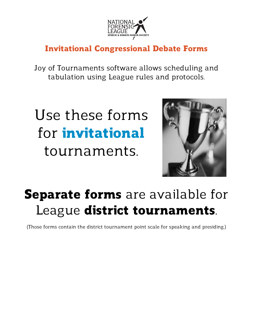

# Invitational Congressional Debate Forms

Joy of Tournaments software allows scheduling and tabulation using League rules and protocols.

# Use these forms for **invitational** tournaments.



# **Separate forms** are available for League district tournaments.

(Those forms contain the district tournament point scale for speaking and presiding.)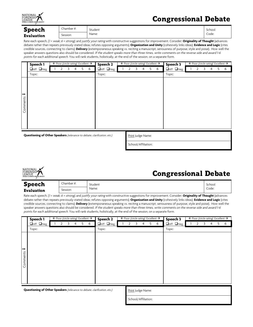

| <b>Speech</b> | Chamber #: | Student | School |
|---------------|------------|---------|--------|
| Evaluation    | Session:   | Name:   | Code:  |

Rate each speech, (1 = weak; 6 = strong), and justify your rating with constructive suggestions for improvement. Consider: Originality of Thought (advances debate rather than repeats previously stated ideas; refutes opposing arguments); **Organization and Unity** (cohesively links ideas); **Evidence and Logic** (cites credible sources, connecting to claims); **Delivery** (extemporaneous speaking vs. reciting a manuscript, seriousness of purpose, style and poise). How well the speaker answers questions also should be considered. If the student speaks more than three times, write comments on the reverse side and award 1-6 points for each additional speech. You will rank students, holistically, at the end of the session, on a separate form.

|                           | Speech 1                                                               | $\leftarrow$ Poor <i>(circle rating)</i> Excellent $\rightarrow$ |  |    |   |        | Speech 2              |  | $\leftarrow$ Poor <i>(circle rating)</i> Excellent $\rightarrow$ |    |   | Speech 3 |                       |  |   |   | $\leftarrow$ Poor <i>(circle rating)</i> Excellent $\rightarrow$ |   |
|---------------------------|------------------------------------------------------------------------|------------------------------------------------------------------|--|----|---|--------|-----------------------|--|------------------------------------------------------------------|----|---|----------|-----------------------|--|---|---|------------------------------------------------------------------|---|
|                           | $\Box$ Aff $\Box$ Neg                                                  |                                                                  |  | 5. | 6 |        | $\Box$ Aff $\Box$ Neg |  |                                                                  | 5. | 6 |          | $\Box$ Aff $\Box$ Neg |  | 3 | 4 | 5                                                                | 6 |
|                           | Topic:                                                                 |                                                                  |  |    |   | Topic: |                       |  |                                                                  |    |   | Topic:   |                       |  |   |   |                                                                  |   |
| $\rightarrow$<br>Comments |                                                                        |                                                                  |  |    |   |        |                       |  |                                                                  |    |   |          |                       |  |   |   |                                                                  |   |
|                           | Questioning of Other Speakers (relevance to debate clarification etc.) |                                                                  |  |    |   |        |                       |  | Deine Luden Monaco                                               |    |   |          |                       |  |   |   |                                                                  |   |

**stioning of Other Speakers** (relevance to debate, clarification, etc.) Print Judge Name:

School/Affiliation:



## Congressional Debate

| <b>Speech</b> | Chamber #: | Student | School |
|---------------|------------|---------|--------|
| Evaluation    | Session:   | Name:   | Code:  |

Rate each speech, (1 = weak; 6 = strong), and justify your rating with constructive suggestions for improvement. Consider: **Originality of Thought** (advances debate rather than repeats previously stated ideas; refutes opposing arguments); **Organization and Unity** (cohesively links ideas); **Evidence and Logic** (cites credible sources, connecting to claims); **Delivery** (extemporaneous speaking vs. reciting a manuscript, seriousness of purpose, style and poise). How well the speaker answers questions also should be considered. If the student speaks more than three times, write comments on the reverse side and award 1-6 points for each additional speech. You will rank students, holistically, at the end of the session, on a separate form.

|               | Speech 1              | $\leftarrow$ Poor <i>(circle rating)</i> Excellent $\rightarrow$ |   |    |   |        | Speech 2              |   |   |   |    | $\leftarrow$ Poor <i>(circle rating)</i> Excellent $\rightarrow$ | Speech 3 |                       |  | $\leftarrow$ Poor <i>(circle rating)</i> Excellent $\rightarrow$ |   |    |   |
|---------------|-----------------------|------------------------------------------------------------------|---|----|---|--------|-----------------------|---|---|---|----|------------------------------------------------------------------|----------|-----------------------|--|------------------------------------------------------------------|---|----|---|
|               | $\Box$ Aff $\Box$ Neg |                                                                  | 4 | 5. | 6 |        | $\Box$ Aff $\Box$ Neg | 2 | 3 | 4 | 5. | 6                                                                |          | $\Box$ Aff $\Box$ Neg |  |                                                                  | 4 | 5. | 6 |
|               | Topic:                |                                                                  |   |    |   | Topic: |                       |   |   |   |    |                                                                  | Topic:   |                       |  |                                                                  |   |    |   |
|               |                       |                                                                  |   |    |   |        |                       |   |   |   |    |                                                                  |          |                       |  |                                                                  |   |    |   |
|               |                       |                                                                  |   |    |   |        |                       |   |   |   |    |                                                                  |          |                       |  |                                                                  |   |    |   |
|               |                       |                                                                  |   |    |   |        |                       |   |   |   |    |                                                                  |          |                       |  |                                                                  |   |    |   |
| $\rightarrow$ |                       |                                                                  |   |    |   |        |                       |   |   |   |    |                                                                  |          |                       |  |                                                                  |   |    |   |
| Comments      |                       |                                                                  |   |    |   |        |                       |   |   |   |    |                                                                  |          |                       |  |                                                                  |   |    |   |
|               |                       |                                                                  |   |    |   |        |                       |   |   |   |    |                                                                  |          |                       |  |                                                                  |   |    |   |
|               |                       |                                                                  |   |    |   |        |                       |   |   |   |    |                                                                  |          |                       |  |                                                                  |   |    |   |
|               |                       |                                                                  |   |    |   |        |                       |   |   |   |    |                                                                  |          |                       |  |                                                                  |   |    |   |
|               |                       |                                                                  |   |    |   |        |                       |   |   |   |    |                                                                  |          |                       |  |                                                                  |   |    |   |
|               |                       |                                                                  |   |    |   |        |                       |   |   |   |    |                                                                  |          |                       |  |                                                                  |   |    |   |

**Questioning of Other Speakers** (relevance to debate, clarification, etc.) Print Judge Name:

| School/Affiliation: |  |
|---------------------|--|
|                     |  |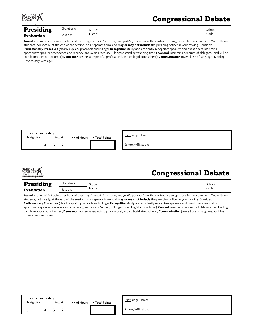

| <b>Presiding</b>  | Chamber #: | Student | School |
|-------------------|------------|---------|--------|
| <b>Evaluation</b> | Session:   | Name:   | Code:  |

Award a rating of 2-6 points per hour of presiding (2=weak; 6 = strong), and justify your rating with constructive suggestions for improvement. You will rank students, holistically, at the end of the session, on a separate form, and **may or may not include** the presiding officer in your ranking. Consider: **Parliamentary Procedure** (clearly explains protocols and rulings); **Recognition** (fairly and efficiently recognizes speakers and questioners, maintains appropriate speaker precedence and recency, and avoids "activity," "longest standing/standing time"); **Control** (maintains decorum of delegates, and willing to rule motions out of order); **Demeanor** (fosters a respectful, professional, and collegial atmosphere); **Communication** (overall use of language, avoiding unnecessary verbiage).

| Circle point rating: |                                             |  |  |              |                |  | <u>Print</u> Judge Name: |  |  |  |
|----------------------|---------------------------------------------|--|--|--------------|----------------|--|--------------------------|--|--|--|
|                      | Low $\rightarrow$<br>$\leftarrow$ High/Best |  |  | X # of Hours | = Total Points |  |                          |  |  |  |
|                      |                                             |  |  | ∸            |                |  | School/Affiliation:      |  |  |  |



#### Congressional Debate

| <b>Presiding</b>  | Chamber #: | Student | School |
|-------------------|------------|---------|--------|
| <b>Evaluation</b> | Session:   | Name:   | Code:  |

Award a rating of 2-6 points per hour of presiding (2=weak; 6 = strong), and justify your rating with constructive suggestions for improvement. You will rank students, holistically, at the end of the session, on a separate form, and **may or may not include** the presiding officer in your ranking. Consider: **Parliamentary Procedure** (clearly explains protocols and rulings); **Recognition** (fairly and efficiently recognizes speakers and questioners, maintains appropriate speaker precedence and recency, and avoids "activity," "longest standing/standing time"); **Control** (maintains decorum of delegates, and willing to rule motions out of order); **Demeanor** (fosters a respectful, professional, and collegial atmosphere); **Communication** (overall use of language, avoiding unnecessary verbiage).

| Circle point rating:                        | Print Judge Name: |  |  |                 |                |                    |
|---------------------------------------------|-------------------|--|--|-----------------|----------------|--------------------|
| $\leftarrow$ High/Best<br>Low $\rightarrow$ |                   |  |  | $X \#$ of Hours | = Total Points |                    |
|                                             |                   |  |  |                 |                | School/Affiliation |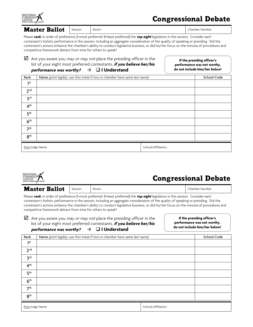

 $\normalsize \textbf{Master Ballot}$  Session: Room: Room: Room: Results and  $\blacksquare$  Chamber Number:

Please **rank**, in order of preference (1=most preferred; 8=least preferred) the **top eight** legislators in this session. Consider each contestant's holistic performance in the session, including an aggregate consideration of the quality of speaking or presiding. Did the contestant's actions enhance the chamber's ability to conduct legislative business, or did his/her focus on the minutia of procedures and competitive framework detract from time for others to speak?

| <i>performance was worthy?</i> $\rightarrow$ $\Box$ I Understand             |
|------------------------------------------------------------------------------|
| list of your eight most preferred contestants, <b>if you believe her/his</b> |
|                                                                              |

**If the presiding officer's performance was not worthy, do not include him/her below!**

| Rank              | Name (print legibly; use first initial if two in chamber have same last name) |                     | School Code |
|-------------------|-------------------------------------------------------------------------------|---------------------|-------------|
| 1st               |                                                                               |                     |             |
| 2 <sup>nd</sup>   |                                                                               |                     |             |
| 3 <sup>rd</sup>   |                                                                               |                     |             |
| 4 <sup>th</sup>   |                                                                               |                     |             |
| 5 <sup>th</sup>   |                                                                               |                     |             |
| 6 <sup>th</sup>   |                                                                               |                     |             |
| 7 <sup>th</sup>   |                                                                               |                     |             |
| 8 <sup>th</sup>   |                                                                               |                     |             |
| Print Judge Name: |                                                                               | School/Affiliation: |             |



| <b>Master Ballot</b> | Session: | Room: | .:hamber Number: |
|----------------------|----------|-------|------------------|
|                      |          |       |                  |

Please **rank**, in order of preference (1=most preferred; 8=least preferred) the **top eight** legislators in this session. Consider each contestant's holistic performance in the session, including an aggregate consideration of the quality of speaking or presiding. Did the contestant's actions enhance the chamber's ability to conduct legislative business, or did his/her focus on the minutia of procedures and competitive framework detract from time for others to speak?

 $\boxtimes$  Are you aware you *may or may not* place the presiding officer in the list of your eight most preferred contestants, **if you believe her/his**  *performance was worthy?*  $\rightarrow$   $\Box$  **I Understand** 

**If the presiding officer's performance was not worthy, do not include him/her below!**

| Rank              | Name (print legibly; use first initial if two in chamber have same last name) | School Code         |  |  |  |  |  |
|-------------------|-------------------------------------------------------------------------------|---------------------|--|--|--|--|--|
| 1st               |                                                                               |                     |  |  |  |  |  |
| 2 <sub>nd</sub>   |                                                                               |                     |  |  |  |  |  |
| 3 <sup>rd</sup>   |                                                                               |                     |  |  |  |  |  |
| 4 <sup>th</sup>   |                                                                               |                     |  |  |  |  |  |
| 5 <sup>th</sup>   |                                                                               |                     |  |  |  |  |  |
| 6 <sup>th</sup>   |                                                                               |                     |  |  |  |  |  |
| 7 <sup>th</sup>   |                                                                               |                     |  |  |  |  |  |
| 8 <sup>th</sup>   |                                                                               |                     |  |  |  |  |  |
| Print Judge Name: |                                                                               | School/Affiliation: |  |  |  |  |  |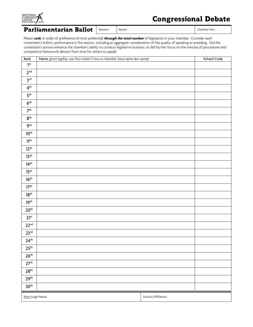

#### **Parliamentarian Ballot**  $|$  Session:  $|$  Room:  $|$  Chamber No.:

Please **rank**, in order of preference (1=most preferred) **through the total number** of legislators in your chamber. Consider each contestant's holistic performance in the session, including an aggregate consideration of the quality of speaking or presiding. Did the contestant's actions enhance the chamber's ability to conduct legislative business, or did his/her focus on the minutia of procedures and competitive framework detract from time for others to speak?

| Rank                     | Name (print legibly; use first initial if two in chamber have same last name) |                     | School Code |
|--------------------------|-------------------------------------------------------------------------------|---------------------|-------------|
| 1 <sup>st</sup>          |                                                                               |                     |             |
| 2 <sup>nd</sup>          |                                                                               |                     |             |
| $\mathbf{3}^{\text{rd}}$ |                                                                               |                     |             |
| $4^{\rm th}$             |                                                                               |                     |             |
| ${\bf 5}^{\rm th}$       |                                                                               |                     |             |
| $6^{\rm th}$             |                                                                               |                     |             |
| 7 <sup>th</sup>          |                                                                               |                     |             |
| $8^{\rm th}$             |                                                                               |                     |             |
| $9^{\rm th}$             |                                                                               |                     |             |
| $10^{\text{th}}$         |                                                                               |                     |             |
| $11^{\rm th}$            |                                                                               |                     |             |
| $12^{th}$                |                                                                               |                     |             |
| 13 <sup>th</sup>         |                                                                               |                     |             |
| $14^{th}$                |                                                                               |                     |             |
| $15^{\text{th}}$         |                                                                               |                     |             |
| $16^{th}$                |                                                                               |                     |             |
| 17 <sup>th</sup>         |                                                                               |                     |             |
| $18^{\rm th}$            |                                                                               |                     |             |
| 19 <sup>th</sup>         |                                                                               |                     |             |
| 20 <sup>th</sup>         |                                                                               |                     |             |
| $21^{st}$                |                                                                               |                     |             |
| 22 <sup>nd</sup>         |                                                                               |                     |             |
| 23 <sup>rd</sup>         |                                                                               |                     |             |
| $24^{\text{th}}$         |                                                                               |                     |             |
| 25 <sup>th</sup>         |                                                                               |                     |             |
| $26^{\rm th}$            |                                                                               |                     |             |
| 27 <sup>th</sup>         |                                                                               |                     |             |
| $28^{\rm th}$            |                                                                               |                     |             |
| 29 <sup>th</sup>         |                                                                               |                     |             |
| 30 <sup>th</sup>         |                                                                               |                     |             |
| Print Judge Name:        |                                                                               | School/Affiliation: |             |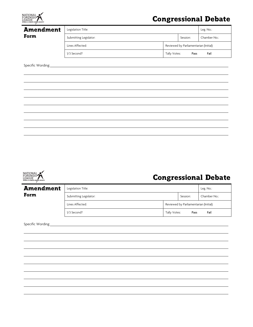

|          | Leg. No.:                                              |  |  |  |
|----------|--------------------------------------------------------|--|--|--|
| Session: | Chamber No.:                                           |  |  |  |
|          |                                                        |  |  |  |
| Pass     | Fail                                                   |  |  |  |
|          |                                                        |  |  |  |
|          | Reviewed by Parliamentarian (Initial):<br>Tally Votes: |  |  |  |



# Congressional Debate

| <b>Amendment</b> | Legislation Title:     | Leg. No.:    |                                        |              |  |  |  |
|------------------|------------------------|--------------|----------------------------------------|--------------|--|--|--|
| Form             | Submitting Legislator: |              | Session:                               | Chamber No.: |  |  |  |
|                  | Lines Affected:        |              | Reviewed by Parliamentarian (Initial): |              |  |  |  |
|                  | 1/3 Second?            | Tally Votes: | Pass                                   | Fail         |  |  |  |

Specific Wording: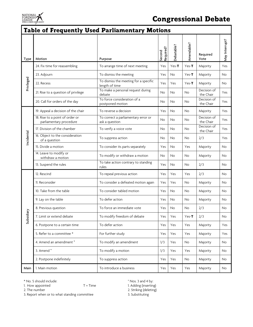

#### Table of Frequently Used Parliamentary Motions

| Type       | Motion                                                     | Purpose                                                 | Required?<br>Second | Debatable? | Amendable? | Required<br>Vote         | May Interrupt? |
|------------|------------------------------------------------------------|---------------------------------------------------------|---------------------|------------|------------|--------------------------|----------------|
|            | 24. Fix time for reassembling                              | To arrange time of next meeting                         | Yes                 | $Yes-T$    | $Yes-T$    | Majority                 | Yes            |
| Privileged | 23. Adjourn                                                | To dismiss the meeting                                  | Yes                 | No         | $Yes-T$    | Majority                 | <b>No</b>      |
|            | 22. Recess                                                 | To dismiss the meeting for a specific<br>length of time | Yes                 | Yes        | $Yes-T$    | Majority                 | No             |
|            | 21. Rise to a question of privilege                        | To make a personal request during<br>debate             | No                  | <b>No</b>  | <b>No</b>  | Decision of<br>the Chair | Yes            |
|            | 20. Call for orders of the day                             | To force consideration of a<br>postponed motion         | No                  | <b>No</b>  | No         | Decision of<br>the Chair | Yes            |
|            | 19. Appeal a decision of the chair                         | To reverse a decision                                   | Yes                 | No         | No         | Majority                 | Yes            |
| Incidental | 18. Rise to a point of order or<br>parliamentary procedure | To correct a parliamentary error or<br>ask a question   | No                  | No         | No         | Decision of<br>the Chair | Yes            |
|            | 17. Division of the chamber                                | To verify a voice vote                                  | No                  | No         | No         | Decision of<br>the Chair | Yes            |
|            | 16. Object to the consideration<br>of a question           | To suppress action                                      | No                  | No         | No         | 2/3                      | Yes            |
|            | 15. Divide a motion                                        | To consider its parts separately                        | Yes                 | No         | Yes        | Majority                 | No             |
|            | 14. Leave to modify or<br>withdraw a motion                | To modify or withdraw a motion                          | No                  | No         | No         | Majority                 | No             |
|            | 13. Suspend the rules                                      | To take action contrary to standing<br>rules            | Yes                 | No         | No         | 2/3                      | No             |
|            | 12. Rescind                                                | To repeal previous action                               | Yes                 | Yes        | Yes        | 2/3                      | No             |
|            | 11. Reconsider                                             | To consider a defeated motion again                     | Yes                 | Yes        | No         | Majority                 | No             |
|            | 10. Take from the table                                    | To consider tabled motion                               | Yes                 | <b>No</b>  | <b>No</b>  | Majority                 | No             |
|            | 9. Lay on the table                                        | To defer action                                         | Yes                 | No         | No         | Majority                 | No             |
|            | 8. Previous question                                       | To force an immediate vote                              | Yes                 | No         | No         | 2/3                      | No             |
| Subsidiary | 7. Limit or extend debate                                  | To modify freedom of debate                             | Yes                 | Yes        | $Yes-T$    | 2/3                      | No             |
|            | 6. Postpone to a certain time                              | To defer action                                         | Yes                 | Yes        | Yes        | Majority                 | Yes            |
|            | 5. Refer to a committee *                                  | For further study                                       | Yes                 | Yes        | Yes        | Majority                 | Yes            |
|            | 4. Amend an amendment °                                    | To modify an amendment                                  | 1/3                 | Yes        | No         | Majority                 | No             |
|            | 3. Amend °                                                 | To modify a motion                                      | 1/3                 | Yes        | Yes        | Majority                 | No             |
|            | 2. Postpone indefinitely                                   | To suppress action                                      | Yes                 | Yes        | No         | Majority                 | No             |
| Main       | 1. Main motion                                             | To introduce a business                                 | Yes                 | Yes        | Yes        | Majority                 | No             |

\* No. 5 should include:<br>
1. How appointed T = Time 1. Adding (inserting 1. Adding (inserting

3. Report when or to what standing committee 3. Substituting

1. How appointed T = Time 1. Adding (inserting) 1. The number 1. Adding (inserting) 2. Striking (deleting)

2. Striking (deleting)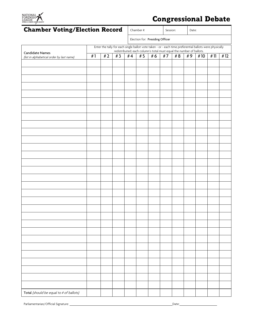

## Chamber Voting/Election Record

| Chamber #: | Session: | Date: |
|------------|----------|-------|
|            |          |       |

Election for: Presiding Officer

| LIECHOLITOI. TTESIGHIB OTHCEI<br>Enter the tally for each single ballot vote taken - or - each time preferential ballots were physically<br>redistributed; each column's total must equal the number of ballots. |    |    |    |    |     |    |    |     |    |     |     |     |
|------------------------------------------------------------------------------------------------------------------------------------------------------------------------------------------------------------------|----|----|----|----|-----|----|----|-----|----|-----|-----|-----|
| Candidate Names<br>(list in alphabetical order by last name)                                                                                                                                                     | #1 | #2 | #3 | #4 | # 5 | #6 | #7 | # 8 | #9 | #10 | #11 | #12 |
|                                                                                                                                                                                                                  |    |    |    |    |     |    |    |     |    |     |     |     |
|                                                                                                                                                                                                                  |    |    |    |    |     |    |    |     |    |     |     |     |
|                                                                                                                                                                                                                  |    |    |    |    |     |    |    |     |    |     |     |     |
|                                                                                                                                                                                                                  |    |    |    |    |     |    |    |     |    |     |     |     |
|                                                                                                                                                                                                                  |    |    |    |    |     |    |    |     |    |     |     |     |
|                                                                                                                                                                                                                  |    |    |    |    |     |    |    |     |    |     |     |     |
|                                                                                                                                                                                                                  |    |    |    |    |     |    |    |     |    |     |     |     |
|                                                                                                                                                                                                                  |    |    |    |    |     |    |    |     |    |     |     |     |
|                                                                                                                                                                                                                  |    |    |    |    |     |    |    |     |    |     |     |     |
|                                                                                                                                                                                                                  |    |    |    |    |     |    |    |     |    |     |     |     |
|                                                                                                                                                                                                                  |    |    |    |    |     |    |    |     |    |     |     |     |
|                                                                                                                                                                                                                  |    |    |    |    |     |    |    |     |    |     |     |     |
|                                                                                                                                                                                                                  |    |    |    |    |     |    |    |     |    |     |     |     |
|                                                                                                                                                                                                                  |    |    |    |    |     |    |    |     |    |     |     |     |
|                                                                                                                                                                                                                  |    |    |    |    |     |    |    |     |    |     |     |     |
|                                                                                                                                                                                                                  |    |    |    |    |     |    |    |     |    |     |     |     |
|                                                                                                                                                                                                                  |    |    |    |    |     |    |    |     |    |     |     |     |
|                                                                                                                                                                                                                  |    |    |    |    |     |    |    |     |    |     |     |     |
|                                                                                                                                                                                                                  |    |    |    |    |     |    |    |     |    |     |     |     |
|                                                                                                                                                                                                                  |    |    |    |    |     |    |    |     |    |     |     |     |
|                                                                                                                                                                                                                  |    |    |    |    |     |    |    |     |    |     |     |     |
|                                                                                                                                                                                                                  |    |    |    |    |     |    |    |     |    |     |     |     |
|                                                                                                                                                                                                                  |    |    |    |    |     |    |    |     |    |     |     |     |
|                                                                                                                                                                                                                  |    |    |    |    |     |    |    |     |    |     |     |     |
|                                                                                                                                                                                                                  |    |    |    |    |     |    |    |     |    |     |     |     |
|                                                                                                                                                                                                                  |    |    |    |    |     |    |    |     |    |     |     |     |
|                                                                                                                                                                                                                  |    |    |    |    |     |    |    |     |    |     |     |     |
|                                                                                                                                                                                                                  |    |    |    |    |     |    |    |     |    |     |     |     |
|                                                                                                                                                                                                                  |    |    |    |    |     |    |    |     |    |     |     |     |
|                                                                                                                                                                                                                  |    |    |    |    |     |    |    |     |    |     |     |     |
|                                                                                                                                                                                                                  |    |    |    |    |     |    |    |     |    |     |     |     |
|                                                                                                                                                                                                                  |    |    |    |    |     |    |    |     |    |     |     |     |
| Total (should be equal to # of ballots)                                                                                                                                                                          |    |    |    |    |     |    |    |     |    |     |     |     |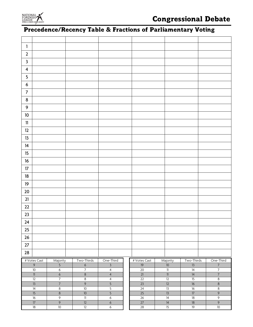

## Precedence/Recency Table & Fractions of Parliamentary Voting

| 1                       |                         |                                  |                                  |                                  |                 |                                    |                       |                                  |
|-------------------------|-------------------------|----------------------------------|----------------------------------|----------------------------------|-----------------|------------------------------------|-----------------------|----------------------------------|
| $\mathbf 2$             |                         |                                  |                                  |                                  |                 |                                    |                       |                                  |
| $\mathbf{3}$            |                         |                                  |                                  |                                  |                 |                                    |                       |                                  |
| $\overline{\mathbf{4}}$ |                         |                                  |                                  |                                  |                 |                                    |                       |                                  |
| 5                       |                         |                                  |                                  |                                  |                 |                                    |                       |                                  |
| $\boldsymbol{6}$        |                         |                                  |                                  |                                  |                 |                                    |                       |                                  |
| $\overline{7}$          |                         |                                  |                                  |                                  |                 |                                    |                       |                                  |
| $\bf 8$                 |                         |                                  |                                  |                                  |                 |                                    |                       |                                  |
| $\boldsymbol{9}$        |                         |                                  |                                  |                                  |                 |                                    |                       |                                  |
| $10$                    |                         |                                  |                                  |                                  |                 |                                    |                       |                                  |
| ${\bf 11}$              |                         |                                  |                                  |                                  |                 |                                    |                       |                                  |
| 12                      |                         |                                  |                                  |                                  |                 |                                    |                       |                                  |
| 13                      |                         |                                  |                                  |                                  |                 |                                    |                       |                                  |
| 14                      |                         |                                  |                                  |                                  |                 |                                    |                       |                                  |
| 15                      |                         |                                  |                                  |                                  |                 |                                    |                       |                                  |
| $16$                    |                         |                                  |                                  |                                  |                 |                                    |                       |                                  |
| $17\,$                  |                         |                                  |                                  |                                  |                 |                                    |                       |                                  |
| $18\,$                  |                         |                                  |                                  |                                  |                 |                                    |                       |                                  |
| 19                      |                         |                                  |                                  |                                  |                 |                                    |                       |                                  |
| $20$                    |                         |                                  |                                  |                                  |                 |                                    |                       |                                  |
| 21                      |                         |                                  |                                  |                                  |                 |                                    |                       |                                  |
| $22\,$                  |                         |                                  |                                  |                                  |                 |                                    |                       |                                  |
| $23\,$                  |                         |                                  |                                  |                                  |                 |                                    |                       |                                  |
| 24                      |                         |                                  |                                  |                                  |                 |                                    |                       |                                  |
| 25                      |                         |                                  |                                  |                                  |                 |                                    |                       |                                  |
| 26                      |                         |                                  |                                  |                                  |                 |                                    |                       |                                  |
| 27                      |                         |                                  |                                  |                                  |                 |                                    |                       |                                  |
| 28                      |                         |                                  |                                  |                                  |                 |                                    |                       |                                  |
|                         | # Votes Cast            | Majority                         | Two-Thirds                       | One-Third                        | # Votes Cast    | Majority                           | Two-Thirds            | One-Third                        |
|                         | $\overline{9}$<br>10    | $\overline{5}$<br>$\overline{6}$ | $\overline{6}$<br>$\overline{7}$ | $\overline{3}$                   | 19<br>20        | $10$<br>$\overline{\mathbb{1}}$    | 13<br>14              | $\overline{7}$<br>$\overline{7}$ |
|                         | $\overline{\mathbb{1}}$ | $\overline{6}$                   | $\bf 8$                          | $\overline{4}$<br>$\overline{4}$ | 21              | $\overline{\mathbb{1}}$            | 14                    | $\overline{7}$                   |
|                         | $\overline{12}$         | $\overline{7}$                   | $\infty$                         | $\overline{4}$                   | $\overline{22}$ | $\overline{12}$                    | $\overline{15}$       | $\infty$                         |
|                         | 13                      | $\overline{7}$                   | $\overline{9}$                   | $\overline{5}$                   | 23              | 12                                 | 16                    | $\bf 8$                          |
|                         | 14                      | $\,8\,$                          | 10                               | $\overline{5}$                   | 24              | 13                                 | 16                    | $\,8\,$                          |
|                         | 15                      | $\bf 8$                          | 10                               | $\overline{5}$                   | 25              | 13                                 | $\overline{17}$       | $\overline{9}$                   |
|                         | $\overline{16}$<br>17   | $\overline{9}$<br>$\overline{9}$ | $\overline{\mathbb{I}}$<br>12    | $\overline{6}$<br>$\overline{6}$ | 26<br>27        | $\overline{14}$<br>$\overline{14}$ | $\overline{18}$<br>18 | $\overline{9}$<br>$\overline{9}$ |
|                         | $18\,$                  | $10\,$                           | $\overline{12}$                  | $6\phantom{.0}$                  | 28              | $\overline{15}$                    | 19                    | $10\,$                           |
|                         |                         |                                  |                                  |                                  |                 |                                    |                       |                                  |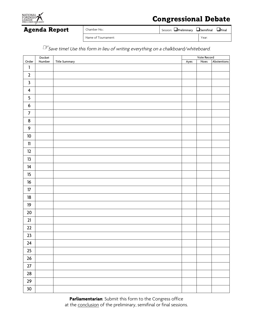

Agenda Report Chamber No.: Session: QPreliminary QSemifinal QFinal quality of Semifinal QFinal

Name of Tournament: Year:

**☞**Save time! Use this form in lieu of writing everything on a chalkboard/whiteboard.

|                         | Docket |               |      | Vote Record |             |  |
|-------------------------|--------|---------------|------|-------------|-------------|--|
| Order                   | Number | Title Summary | Ayes | Noes        | Abstentions |  |
| $\mathbf{1}$            |        |               |      |             |             |  |
| $\overline{2}$          |        |               |      |             |             |  |
| $\mathbf{3}$            |        |               |      |             |             |  |
| $\overline{\mathbf{4}}$ |        |               |      |             |             |  |
| $\overline{\mathbf{5}}$ |        |               |      |             |             |  |
| $\boldsymbol{6}$        |        |               |      |             |             |  |
| $\overline{7}$          |        |               |      |             |             |  |
| $\bf 8$                 |        |               |      |             |             |  |
| 9                       |        |               |      |             |             |  |
| $10\,$                  |        |               |      |             |             |  |
| $11\,$                  |        |               |      |             |             |  |
| 12                      |        |               |      |             |             |  |
| 13                      |        |               |      |             |             |  |
| 14                      |        |               |      |             |             |  |
| $15\phantom{.0}$        |        |               |      |             |             |  |
| 16                      |        |               |      |             |             |  |
| $17\,$                  |        |               |      |             |             |  |
| $18\,$                  |        |               |      |             |             |  |
| 19                      |        |               |      |             |             |  |
| $20\,$                  |        |               |      |             |             |  |
| $21$                    |        |               |      |             |             |  |
| $22$                    |        |               |      |             |             |  |
| 23                      |        |               |      |             |             |  |
| $24$                    |        |               |      |             |             |  |
| $25\,$                  |        |               |      |             |             |  |
| $26\,$                  |        |               |      |             |             |  |
| $27\,$                  |        |               |      |             |             |  |
| ${\bf 28}$              |        |               |      |             |             |  |
| $29\,$                  |        |               |      |             |             |  |
| 30 <sub>o</sub>         |        |               |      |             |             |  |

**Parliamentarian**: Submit this form to the Congress office at the conclusion of the preliminary, semifinal or final sessions.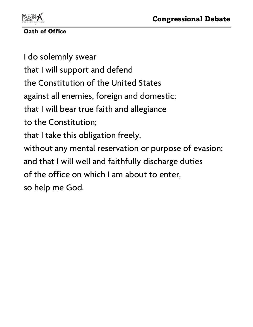

Oath of Office

I do solemnly swear that I will support and defend the Constitution of the United States against all enemies, foreign and domestic; that I will bear true faith and allegiance to the Constitution; that I take this obligation freely, without any mental reservation or purpose of evasion; and that I will well and faithfully discharge duties of the office on which I am about to enter, so help me God.